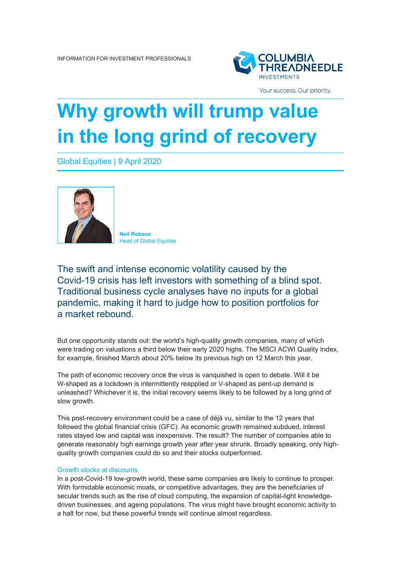

Your success. Our priority.

## **Why growth will trump value in the long grind of recovery**

Global Equities | 9 April 2020



**Neil Robson Head of Global Equities** 

The swift and intense economic volatility caused by the Covid-19 crisis has left investors with something of a blind spot. Traditional business cycle analyses have no inputs for a global pandemic, making it hard to judge how to position portfolios for a market rebound.

But one opportunity stands out: the world's high-quality growth companies, many of which were trading on valuations a third below their early 2020 highs. The MSCI ACWI Quality Index, for example, finished March about 20% below its previous high on 12 March this year.

The path of economic recovery once the virus is vanquished is open to debate. Will it be W-shaped as a lockdown is intermittently reapplied or V-shaped as pent-up demand is unleashed? Whichever it is, the initial recovery seems likely to be followed by a long grind of slow growth.

This post-recovery environment could be a case of déjà vu, similar to the 12 years that followed the global financial crisis (GFC). As economic growth remained subdued, interest rates stayed low and capital was inexpensive. The result? The number of companies able to generate reasonably high earnings growth year after year shrunk. Broadly speaking, only highquality growth companies could do so and their stocks outperformed.

## Growth stocks at discounts

In a post-Covid-19 low-growth world, these same companies are likely to continue to prosper. With formidable economic moats, or competitive advantages, they are the beneficiaries of secular trends such as the rise of cloud computing, the expansion of capital-light knowledgedriven businesses, and ageing populations. The virus might have brought economic activity to a halt for now, but these powerful trends will continue almost regardless.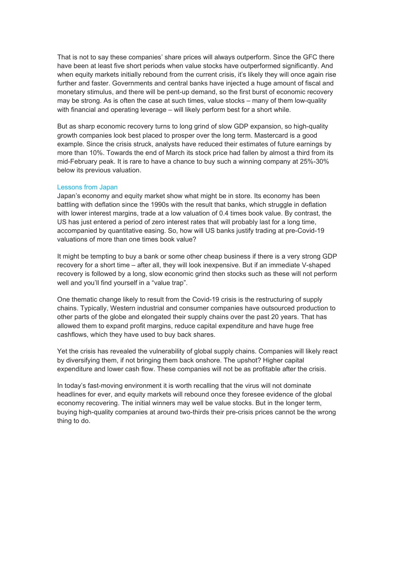That is not to say these companies' share prices will always outperform. Since the GFC there have been at least five short periods when value stocks have outperformed significantly. And when equity markets initially rebound from the current crisis, it's likely they will once again rise further and faster. Governments and central banks have injected a huge amount of fiscal and monetary stimulus, and there will be pent-up demand, so the first burst of economic recovery may be strong. As is often the case at such times, value stocks – many of them low-quality with financial and operating leverage – will likely perform best for a short while.

But as sharp economic recovery turns to long grind of slow GDP expansion, so high-quality growth companies look best placed to prosper over the long term. Mastercard is a good example. Since the crisis struck, analysts have reduced their estimates of future earnings by more than 10%. Towards the end of March its stock price had fallen by almost a third from its mid-February peak. It is rare to have a chance to buy such a winning company at 25%-30% below its previous valuation.

## Lessons from Japan

Japan's economy and equity market show what might be in store. Its economy has been battling with deflation since the 1990s with the result that banks, which struggle in deflation with lower interest margins, trade at a low valuation of 0.4 times book value. By contrast, the US has just entered a period of zero interest rates that will probably last for a long time, accompanied by quantitative easing. So, how will US banks justify trading at pre-Covid-19 valuations of more than one times book value?

It might be tempting to buy a bank or some other cheap business if there is a very strong GDP recovery for a short time – after all, they will look inexpensive. But if an immediate V-shaped recovery is followed by a long, slow economic grind then stocks such as these will not perform well and you'll find yourself in a "value trap".

One thematic change likely to result from the Covid-19 crisis is the restructuring of supply chains. Typically, Western industrial and consumer companies have outsourced production to other parts of the globe and elongated their supply chains over the past 20 years. That has allowed them to expand profit margins, reduce capital expenditure and have huge free cashflows, which they have used to buy back shares.

Yet the crisis has revealed the vulnerability of global supply chains. Companies will likely react by diversifying them, if not bringing them back onshore. The upshot? Higher capital expenditure and lower cash flow. These companies will not be as profitable after the crisis.

In today's fast-moving environment it is worth recalling that the virus will not dominate headlines for ever, and equity markets will rebound once they foresee evidence of the global economy recovering. The initial winners may well be value stocks. But in the longer term, buying high-quality companies at around two-thirds their pre-crisis prices cannot be the wrong thing to do.